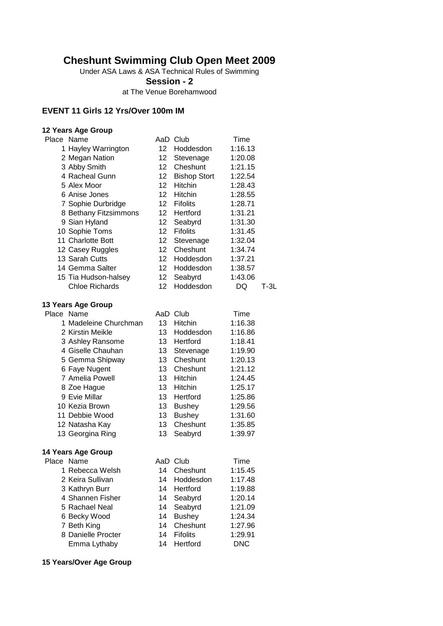# **Cheshunt Swimming Club Open Meet 2009**

Under ASA Laws & ASA Technical Rules of Swimming

**Session - 2**

at The Venue Borehamwood

#### **EVENT 11 Girls 12 Yrs/Over 100m IM**

#### **12 Years Age Group** Place Name **AaD Club** Time 1 Hayley Warrington 12 Hoddesdon 1:16.13 2 Megan Nation 12 Stevenage 1:20.08 3 Abby Smith 12 Cheshunt 1:21.15 4 Racheal Gunn 12 Bishop Stort 1:22.54 5 Alex Moor 12 Hitchin 1:28.43 6 Anise Jones 12 Hitchin 1:28.55<br>7 Sophie Durbridge 12 Fifolits 1:28.71 7 Sophie Durbridge 12 Fifolits 1:28.71 8 Bethany Fitzsimmons 12 Hertford 1:31.21 9 Sian Hyland 12 Seabyrd 1:31.30 10 Sophie Toms 12 Fifolits 1:31.45 11 Charlotte Bott 12 Stevenage 1:32.04 12 Casey Ruggles 12 Cheshunt 1:34.74 13 Sarah Cutts 12 Hoddesdon 1:37.21 14 Gemma Salter 12 Hoddesdon 1:38.57 15 Tia Hudson-halsey 12 Seabyrd 1:43.06 Chloe Richards 12 Hoddesdon DQ T-3L

#### **13 Years Age Group**

| Place Name                |    | AaD Club        | Time    |
|---------------------------|----|-----------------|---------|
| 1 Madeleine Churchman     | 13 | Hitchin         | 1:16.38 |
| 2 Kirstin Meikle          | 13 | Hoddesdon       | 1:16.86 |
| 3 Ashley Ransome          | 13 | Hertford        | 1:18.41 |
| 4 Giselle Chauhan         | 13 | Stevenage       | 1:19.90 |
| 5 Gemma Shipway           | 13 | Cheshunt        | 1:20.13 |
| 6 Faye Nugent             | 13 | Cheshunt        | 1:21.12 |
| 7 Amelia Powell           | 13 | Hitchin         | 1:24.45 |
| 8 Zoe Hague               | 13 | Hitchin         | 1:25.17 |
| 9 Evie Millar             | 13 | Hertford        | 1:25.86 |
| 10 Kezia Brown            | 13 | <b>Bushey</b>   | 1:29.56 |
| 11 Debbie Wood            | 13 | <b>Bushey</b>   | 1:31.60 |
| 12 Natasha Kay            | 13 | Cheshunt        | 1:35.85 |
| 13 Georgina Ring          | 13 | Seabyrd         | 1:39.97 |
| <b>14 Years Age Group</b> |    |                 |         |
| Place Name                |    | AaD Club        | Time    |
| 1 Rebecca Welsh           | 14 | Cheshunt        | 1:15.45 |
| 2 Keira Sullivan          | 14 | Hoddesdon       | 1:17.48 |
| 3 Kathryn Burr            | 14 | Hertford        | 1:19.88 |
| 4 Shannen Fisher          | 14 | Seabyrd         | 1:20.14 |
| 5 Rachael Neal            | 14 | Seabyrd         | 1:21.09 |
| 6 Becky Wood              | 14 | <b>Bushey</b>   | 1:24.34 |
| 7 Beth King               | 14 | Cheshunt        | 1:27.96 |
| 8 Danielle Procter        | 14 | <b>Fifolits</b> | 1:29.91 |

Emma Lythaby 14 Hertford DNC

**15 Years/Over Age Group**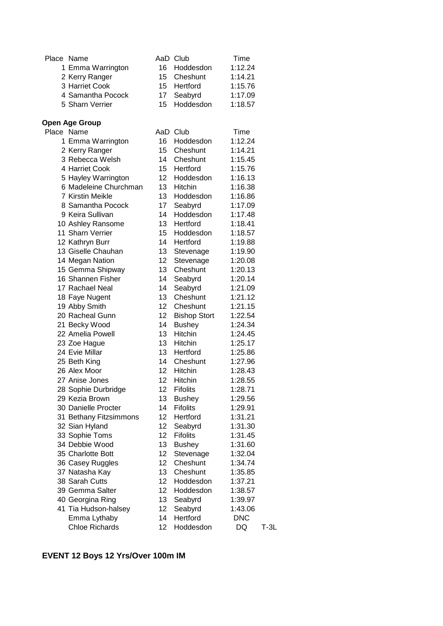| Place Name        | AaD Club     | Time    |
|-------------------|--------------|---------|
| 1 Emma Warrington | 16 Hoddesdon | 1:12.24 |
| 2 Kerry Ranger    | 15 Cheshunt  | 1:14.21 |
| 3 Harriet Cook    | 15 Hertford  | 1:15.76 |
| 4 Samantha Pocock | 17 Seabyrd   | 1:17.09 |
| 5 Sharn Verrier   | 15 Hoddesdon | 1:18.57 |

#### **Open Age Group**

| Place Name             |                 | AaD Club            | Time       |        |
|------------------------|-----------------|---------------------|------------|--------|
| 1 Emma Warrington      | 16              | Hoddesdon           | 1:12.24    |        |
| 2 Kerry Ranger         | 15              | Cheshunt            | 1:14.21    |        |
| 3 Rebecca Welsh        | 14              | Cheshunt            | 1:15.45    |        |
| 4 Harriet Cook         | 15              | Hertford            | 1:15.76    |        |
| 5 Hayley Warrington    | 12              | Hoddesdon           | 1:16.13    |        |
| 6 Madeleine Churchman  | 13              | Hitchin             | 1:16.38    |        |
| 7 Kirstin Meikle       | 13              | Hoddesdon           | 1:16.86    |        |
| 8 Samantha Pocock      | 17              | Seabyrd             | 1:17.09    |        |
| 9 Keira Sullivan       | 14              | Hoddesdon           | 1:17.48    |        |
| 10 Ashley Ransome      | 13              | Hertford            | 1:18.41    |        |
| 11 Sharn Verrier       | 15 <sub>1</sub> | Hoddesdon           | 1:18.57    |        |
| 12 Kathryn Burr        | 14              | Hertford            | 1:19.88    |        |
| 13 Giselle Chauhan     | 13              | Stevenage           | 1:19.90    |        |
| 14 Megan Nation        | 12 <sup>°</sup> | Stevenage           | 1:20.08    |        |
| 15 Gemma Shipway       | 13              | Cheshunt            | 1:20.13    |        |
| 16 Shannen Fisher      | 14              | Seabyrd             | 1:20.14    |        |
| 17 Rachael Neal        | 14              | Seabyrd             | 1:21.09    |        |
| 18 Faye Nugent         | 13              | Cheshunt            | 1:21.12    |        |
| 19 Abby Smith          | 12              | Cheshunt            | 1:21.15    |        |
| 20 Racheal Gunn        | 12              | <b>Bishop Stort</b> | 1:22.54    |        |
| 21 Becky Wood          | 14              | <b>Bushey</b>       | 1:24.34    |        |
| 22 Amelia Powell       | 13              | <b>Hitchin</b>      | 1:24.45    |        |
| 23 Zoe Hague           | 13              | Hitchin             | 1:25.17    |        |
| 24 Evie Millar         | 13 <sup>2</sup> | Hertford            | 1:25.86    |        |
| 25 Beth King           | 14              | Cheshunt            | 1:27.96    |        |
| 26 Alex Moor           | 12 <sub>2</sub> | Hitchin             | 1:28.43    |        |
| 27 Anise Jones         | 12              | Hitchin             | 1:28.55    |        |
| 28 Sophie Durbridge    | 12              | <b>Fifolits</b>     | 1:28.71    |        |
| 29 Kezia Brown         | 13              | <b>Bushey</b>       | 1:29.56    |        |
| 30 Danielle Procter    | 14              | <b>Fifolits</b>     | 1:29.91    |        |
| 31 Bethany Fitzsimmons | 12              | Hertford            | 1:31.21    |        |
| 32 Sian Hyland         | 12              | Seabyrd             | 1:31.30    |        |
| 33 Sophie Toms         | 12              | <b>Fifolits</b>     | 1:31.45    |        |
| 34 Debbie Wood         | 13              | <b>Bushey</b>       | 1:31.60    |        |
| 35 Charlotte Bott      | 12              | Stevenage           | 1:32.04    |        |
| 36 Casey Ruggles       | 12              | Cheshunt            | 1:34.74    |        |
| 37 Natasha Kay         | 13              | Cheshunt            | 1:35.85    |        |
| 38 Sarah Cutts         | 12              | Hoddesdon           | 1:37.21    |        |
| 39 Gemma Salter        | 12              | Hoddesdon           | 1:38.57    |        |
| 40 Georgina Ring       | 13              | Seabyrd             | 1:39.97    |        |
| 41 Tia Hudson-halsey   | 12 <sub>2</sub> | Seabyrd             | 1:43.06    |        |
| Emma Lythaby           | 14              | Hertford            | <b>DNC</b> |        |
| <b>Chloe Richards</b>  | 12              | Hoddesdon           | DQ         | $T-3L$ |

# **EVENT 12 Boys 12 Yrs/Over 100m IM**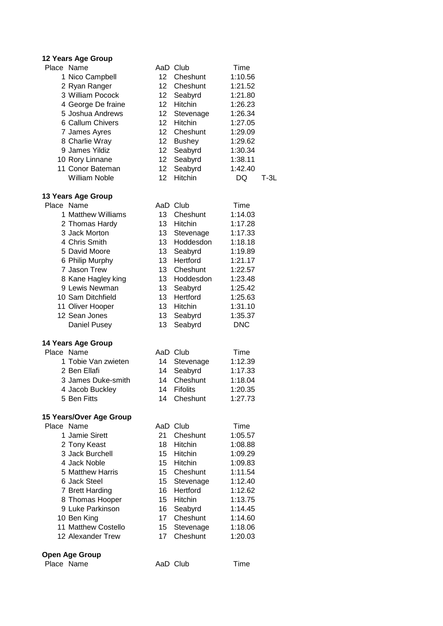| Place Name |                           |                 | AaD Club        | Time        |        |
|------------|---------------------------|-----------------|-----------------|-------------|--------|
|            | 1 Nico Campbell           | 12 <sup>2</sup> | Cheshunt        | 1:10.56     |        |
|            | 2 Ryan Ranger             | 12 <sup>2</sup> | Cheshunt        | 1:21.52     |        |
|            | 3 William Pocock          | 12              | Seabyrd         | 1:21.80     |        |
|            | 4 George De fraine        | 12              | Hitchin         | 1:26.23     |        |
|            | 5 Joshua Andrews          | 12              | Stevenage       | 1:26.34     |        |
|            | 6 Callum Chivers          | 12              | Hitchin         | 1:27.05     |        |
|            | 7 James Ayres             | 12              | Cheshunt        | 1:29.09     |        |
|            | 8 Charlie Wray            | 12 <sup>°</sup> | <b>Bushey</b>   | 1:29.62     |        |
|            | 9 James Yildiz            | 12 <sub>2</sub> | Seabyrd         | 1:30.34     |        |
|            | 10 Rory Linnane           | 12 <sub>2</sub> | Seabyrd         | 1:38.11     |        |
|            | 11 Conor Bateman          | 12              | Seabyrd         | 1:42.40     |        |
|            | <b>William Noble</b>      | 12              | Hitchin         | DQ          | $T-3L$ |
|            |                           |                 |                 |             |        |
|            | 13 Years Age Group        |                 |                 |             |        |
| Place Name |                           |                 | AaD Club        | Time        |        |
|            | 1 Matthew Williams        | 13              | Cheshunt        | 1:14.03     |        |
|            |                           | 13              |                 |             |        |
|            | 2 Thomas Hardy            |                 | Hitchin         | 1:17.28     |        |
|            | 3 Jack Morton             | 13              | Stevenage       | 1:17.33     |        |
|            | 4 Chris Smith             | 13              | Hoddesdon       | 1:18.18     |        |
|            | 5 David Moore             | 13              | Seabyrd         | 1:19.89     |        |
|            | 6 Philip Murphy           | 13              | Hertford        | 1:21.17     |        |
|            | 7 Jason Trew              | 13              | Cheshunt        | 1:22.57     |        |
|            | 8 Kane Hagley king        | 13              | Hoddesdon       | 1:23.48     |        |
|            | 9 Lewis Newman            | 13              | Seabyrd         | 1:25.42     |        |
|            | 10 Sam Ditchfield         | 13              | Hertford        | 1:25.63     |        |
|            | 11 Oliver Hooper          | 13              | Hitchin         | 1:31.10     |        |
|            | 12 Sean Jones             | 13              | Seabyrd         | 1:35.37     |        |
|            | Daniel Pusey              | 13              | Seabyrd         | <b>DNC</b>  |        |
|            |                           |                 |                 |             |        |
|            | <b>14 Years Age Group</b> |                 |                 |             |        |
| Place Name |                           |                 | AaD Club        | <b>Time</b> |        |
|            | 1 Tobie Van zwieten       | 14              | Stevenage       | 1:12.39     |        |
|            | 2 Ben Ellafi              | 14              | Seabyrd         | 1:17.33     |        |
|            | 3 James Duke-smith        | 14              | Cheshunt        | 1:18.04     |        |
|            | 4 Jacob Buckley           | 14              | <b>Fifolits</b> | 1:20.35     |        |
|            | 5 Ben Fitts               | 14              | Cheshunt        | 1:27.73     |        |
|            |                           |                 |                 |             |        |
|            | 15 Years/Over Age Group   |                 |                 |             |        |
| Place Name |                           |                 | AaD Club        | Time        |        |
|            | 1 Jamie Sirett            | 21.             | Cheshunt        | 1:05.57     |        |
|            | 2 Tony Keast              | 18              | Hitchin         | 1:08.88     |        |
|            | 3 Jack Burchell           | 15              | <b>Hitchin</b>  | 1:09.29     |        |
|            | 4 Jack Noble              | 15 <sub>1</sub> | Hitchin         | 1:09.83     |        |
|            | 5 Matthew Harris          | 15              | Cheshunt        | 1:11.54     |        |
|            | 6 Jack Steel              | 15              | Stevenage       | 1:12.40     |        |
|            | 7 Brett Harding           | 16              | Hertford        | 1:12.62     |        |
|            | 8 Thomas Hooper           | 15 <sub>2</sub> | Hitchin         | 1:13.75     |        |
|            | 9 Luke Parkinson          | 16              | Seabyrd         | 1:14.45     |        |
|            | 10 Ben King               | 17 <sup>2</sup> | Cheshunt        | 1:14.60     |        |
|            | 11 Matthew Costello       | 15              | Stevenage       | 1:18.06     |        |
|            | 12 Alexander Trew         | 17              | Cheshunt        | 1:20.03     |        |
|            |                           |                 |                 |             |        |
|            | <b>Open Age Group</b>     |                 |                 |             |        |

```
Place Name AaD Club Time
```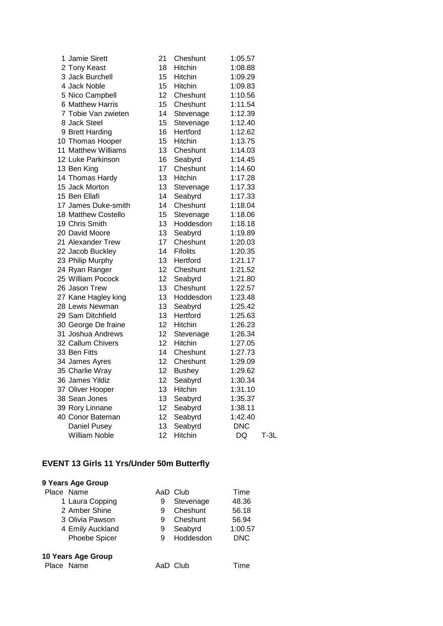| 1 Jamie Sirett             | 21 | Cheshunt        | 1:05.57    |        |
|----------------------------|----|-----------------|------------|--------|
| 2 Tony Keast               | 18 | Hitchin         | 1:08.88    |        |
| 3 Jack Burchell            | 15 | <b>Hitchin</b>  | 1:09.29    |        |
| 4 Jack Noble               | 15 | Hitchin         | 1:09.83    |        |
| 5 Nico Campbell            | 12 | Cheshunt        | 1:10.56    |        |
| 6 Matthew Harris           | 15 | Cheshunt        | 1:11.54    |        |
| 7 Tobie Van zwieten        | 14 | Stevenage       | 1:12.39    |        |
| 8 Jack Steel               | 15 | Stevenage       | 1:12.40    |        |
| 9 Brett Harding            | 16 | Hertford        | 1:12.62    |        |
| 10 Thomas Hooper           | 15 | Hitchin         | 1:13.75    |        |
| 11 Matthew Williams        | 13 | Cheshunt        | 1:14.03    |        |
| 12 Luke Parkinson          | 16 | Seabyrd         | 1:14.45    |        |
| 13 Ben King                | 17 | Cheshunt        | 1:14.60    |        |
| 14 Thomas Hardy            | 13 | Hitchin         | 1:17.28    |        |
| 15 Jack Morton             | 13 | Stevenage       | 1:17.33    |        |
| 15 Ben Ellafi              | 14 | Seabyrd         | 1:17.33    |        |
| 17 James Duke-smith        | 14 | Cheshunt        | 1:18.04    |        |
| <b>18 Matthew Costello</b> | 15 | Stevenage       | 1:18.06    |        |
| 19 Chris Smith             | 13 | Hoddesdon       | 1:18.18    |        |
| 20 David Moore             | 13 | Seabyrd         | 1:19.89    |        |
| 21 Alexander Trew          | 17 | Cheshunt        | 1:20.03    |        |
| 22 Jacob Buckley           | 14 | <b>Fifolits</b> | 1:20.35    |        |
| 23 Philip Murphy           | 13 | Hertford        | 1:21.17    |        |
| 24 Ryan Ranger             | 12 | Cheshunt        | 1:21.52    |        |
| 25 William Pocock          | 12 | Seabyrd         | 1:21.80    |        |
| 26 Jason Trew              | 13 | Cheshunt        | 1:22.57    |        |
| 27 Kane Hagley king        | 13 | Hoddesdon       | 1:23.48    |        |
| 28 Lewis Newman            | 13 | Seabyrd         | 1:25.42    |        |
| 29 Sam Ditchfield          | 13 | Hertford        | 1:25.63    |        |
| 30 George De fraine        | 12 | Hitchin         | 1:26.23    |        |
| 31 Joshua Andrews          | 12 | Stevenage       | 1:26.34    |        |
| 32 Callum Chivers          | 12 | Hitchin         | 1:27.05    |        |
| 33 Ben Fitts               | 14 | Cheshunt        | 1:27.73    |        |
| 34 James Ayres             | 12 | Cheshunt        | 1:29.09    |        |
| 35 Charlie Wray            | 12 | <b>Bushey</b>   | 1:29.62    |        |
| 36 James Yildiz            | 12 | Seabyrd         | 1:30.34    |        |
| 37 Oliver Hooper           | 13 | Hitchin         | 1:31.10    |        |
| 38 Sean Jones              | 13 | Seabyrd         | 1:35.37    |        |
| 39 Rory Linnane            | 12 | Seabyrd         | 1:38.11    |        |
| 40 Conor Bateman           | 12 | Seabyrd         | 1:42.40    |        |
| <b>Daniel Pusey</b>        | 13 | Seabyrd         | <b>DNC</b> |        |
| <b>William Noble</b>       | 12 | Hitchin         | <b>DQ</b>  | $T-3L$ |

# **EVENT 13 Girls 11 Yrs/Under 50m Butterfly**

| 9 Years Age Group    |   |           |            |
|----------------------|---|-----------|------------|
| Place Name           |   | AaD Club  | Time       |
| 1 Laura Copping      | 9 | Stevenage | 48.36      |
| 2 Amber Shine        | 9 | Cheshunt  | 56.18      |
| 3 Olivia Pawson      | 9 | Cheshunt  | 56.94      |
| 4 Emily Auckland     | 9 | Seabyrd   | 1:00.57    |
| <b>Phoebe Spicer</b> | 9 | Hoddesdon | <b>DNC</b> |
| 10 Years Age Group   |   |           |            |

### Place Name **AaD** Club Time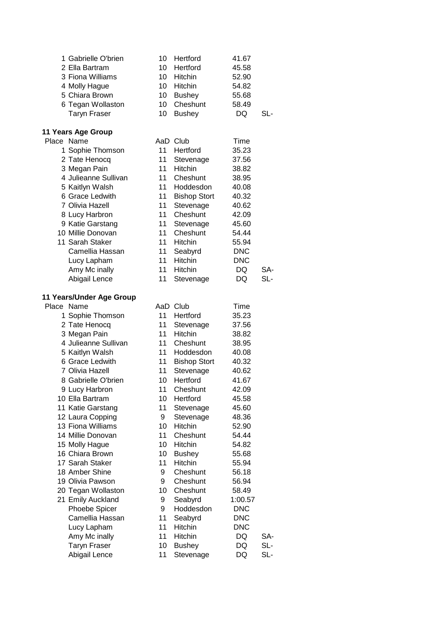|            | 1 Gabrielle O'brien              | 10     | Hertford             | 41.67                 |     |
|------------|----------------------------------|--------|----------------------|-----------------------|-----|
|            | 2 Ella Bartram                   | 10     | Hertford             | 45.58                 |     |
|            | 3 Fiona Williams                 | 10     | Hitchin              | 52.90                 |     |
|            | 4 Molly Hague                    | 10     | Hitchin              | 54.82                 |     |
|            | 5 Chiara Brown                   | 10     | <b>Bushey</b>        | 55.68                 |     |
|            | 6 Tegan Wollaston                | 10     | Cheshunt             | 58.49                 |     |
|            | <b>Taryn Fraser</b>              | 10     | <b>Bushey</b>        | DQ                    | SL- |
|            | 11 Years Age Group               |        |                      |                       |     |
| Place Name |                                  |        | AaD Club             | Time                  |     |
|            | 1 Sophie Thomson                 | 11     | Hertford             | 35.23                 |     |
|            | 2 Tate Henocq                    | 11     | Stevenage            | 37.56                 |     |
|            | 3 Megan Pain                     | 11     | Hitchin              | 38.82                 |     |
|            | 4 Julieanne Sullivan             | 11     | Cheshunt             | 38.95                 |     |
|            | 5 Kaitlyn Walsh                  | 11     | Hoddesdon            | 40.08                 |     |
|            | 6 Grace Ledwith                  | 11     | <b>Bishop Stort</b>  | 40.32                 |     |
|            | 7 Olivia Hazell                  | 11     | Stevenage            | 40.62                 |     |
|            | 8 Lucy Harbron                   | 11     | Cheshunt             | 42.09                 |     |
|            | 9 Katie Garstang                 | 11     | Stevenage            | 45.60                 |     |
|            | 10 Millie Donovan                | 11     | Cheshunt             | 54.44                 |     |
|            | 11 Sarah Staker                  | 11     | Hitchin              | 55.94                 |     |
|            | Camellia Hassan                  | 11     | Seabyrd              | <b>DNC</b>            |     |
|            | Lucy Lapham                      | 11     | Hitchin              | <b>DNC</b>            |     |
|            | Amy Mc inally                    | 11     | <b>Hitchin</b>       | <b>DQ</b>             | SA- |
|            | Abigail Lence                    | 11     | Stevenage            | <b>DQ</b>             | SL- |
|            | 11 Years/Under Age Group         |        |                      |                       |     |
| Place Name |                                  |        | AaD Club             | Time                  |     |
|            | 1 Sophie Thomson                 | 11     | Hertford             | 35.23                 |     |
|            | 2 Tate Henocq                    | 11     | Stevenage            | 37.56                 |     |
|            | 3 Megan Pain                     | 11     | Hitchin              | 38.82                 |     |
|            | 4 Julieanne Sullivan             | 11     | Cheshunt             | 38.95                 |     |
|            | 5 Kaitlyn Walsh                  | 11     | Hoddesdon            | 40.08                 |     |
|            | 6 Grace Ledwith                  | 11     | <b>Bishop Stort</b>  | 40.32                 |     |
|            | 7 Olivia Hazell                  | 11     | Stevenage            | 40.62                 |     |
|            | 8 Gabrielle O'brien              | 10     | Hertford             | 41.67                 |     |
|            | 9 Lucy Harbron                   | 11     | Cheshunt             | 42.09                 |     |
|            | 10 Ella Bartram                  | 10     | Hertford             | 45.58                 |     |
|            | 11 Katie Garstang                | 11     | Stevenage            | 45.60                 |     |
|            | 12 Laura Copping                 | 9      | Stevenage            | 48.36                 |     |
|            | 13 Fiona Williams                | 10     | Hitchin              | 52.90                 |     |
|            | 14 Millie Donovan                | 11     | Cheshunt             | 54.44                 |     |
|            | 15 Molly Hague                   | 10     | Hitchin              | 54.82                 |     |
|            | 16 Chiara Brown                  | 10     | <b>Bushey</b>        | 55.68                 |     |
|            | 17 Sarah Staker                  | 11     | Hitchin              | 55.94                 |     |
|            | 18 Amber Shine                   | 9      | Cheshunt<br>Cheshunt | 56.18                 |     |
|            | 19 Olivia Pawson                 | 9      | Cheshunt             | 56.94                 |     |
|            | 20 Tegan Wollaston               | 10     |                      | 58.49                 |     |
|            | 21 Emily Auckland                | 9<br>9 | Seabyrd<br>Hoddesdon | 1:00.57<br><b>DNC</b> |     |
|            | Phoebe Spicer<br>Camellia Hassan | 11     | Seabyrd              | <b>DNC</b>            |     |
|            | Lucy Lapham                      | 11     | Hitchin              | <b>DNC</b>            |     |
|            | Amy Mc inally                    | 11     | Hitchin              | DQ                    | SA- |
|            | <b>Taryn Fraser</b>              | 10     | <b>Bushey</b>        | DQ                    | SL- |
|            | Abigail Lence                    | 11     | Stevenage            | DQ                    | SL- |
|            |                                  |        |                      |                       |     |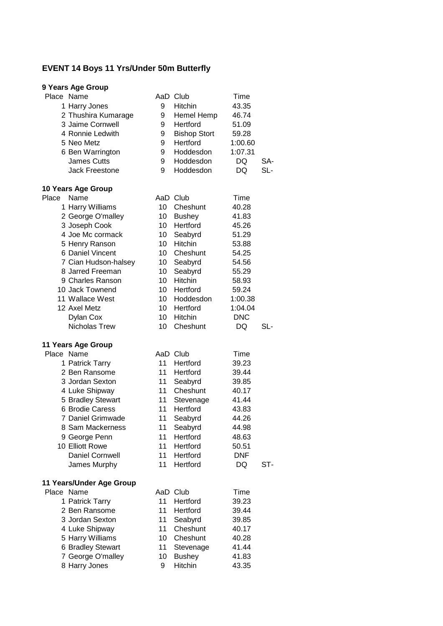# **EVENT 14 Boys 11 Yrs/Under 50m Butterfly**

| Place Name<br>1 Harry Jones<br>2 Thushira Kumarage<br>3 Jaime Cornwell<br>4 Ronnie Ledwith<br>5 Neo Metz<br>6 Ben Warrington<br><b>James Cutts</b><br><b>Jack Freestone</b>                                                                                                                | 9<br>9<br>9<br>9<br>9<br>9<br>9<br>9                                                                                                                                  | AaD Club<br>Hitchin<br>Hemel Hemp<br>Hertford<br><b>Bishop Stort</b><br>Hertford<br>Hoddesdon<br>Hoddesdon<br>Hoddesdon                                                     | Time<br>43.35<br>46.74<br>51.09<br>59.28<br>1:00.60<br>1:07.31<br>DQ<br>DQ                                                         | SA-<br>SL- |
|--------------------------------------------------------------------------------------------------------------------------------------------------------------------------------------------------------------------------------------------------------------------------------------------|-----------------------------------------------------------------------------------------------------------------------------------------------------------------------|-----------------------------------------------------------------------------------------------------------------------------------------------------------------------------|------------------------------------------------------------------------------------------------------------------------------------|------------|
| 10 Years Age Group<br>Place<br>Name<br>1 Harry Williams<br>2 George O'malley<br>3 Joseph Cook<br>4 Joe Mc cormack<br>5 Henry Ranson<br>6 Daniel Vincent<br>7 Cian Hudson-halsey<br>8 Jarred Freeman<br>9 Charles Ranson<br>10 Jack Townend<br>11 Wallace West<br>12 Axel Metz<br>Dylan Cox | 10<br>10 <sup>1</sup><br>10<br>10 <sup>1</sup><br>10<br>10 <sup>°</sup><br>10 <sup>1</sup><br>10 <sup>1</sup><br>10<br>10<br>10<br>10 <sup>1</sup><br>10 <sup>1</sup> | AaD Club<br>Cheshunt<br><b>Bushey</b><br>Hertford<br>Seabyrd<br>Hitchin<br>Cheshunt<br>Seabyrd<br>Seabyrd<br><b>Hitchin</b><br>Hertford<br>Hoddesdon<br>Hertford<br>Hitchin | Time<br>40.28<br>41.83<br>45.26<br>51.29<br>53.88<br>54.25<br>54.56<br>55.29<br>58.93<br>59.24<br>1:00.38<br>1:04.04<br><b>DNC</b> |            |
| Nicholas Trew<br>11 Years Age Group<br>Place Name<br>1 Patrick Tarry<br>2 Ben Ransome<br>3 Jordan Sexton<br>4 Luke Shipway<br>5 Bradley Stewart<br>6 Brodie Caress<br>7 Daniel Grimwade<br>8 Sam Mackerness<br>9 George Penn<br>10 Elliott Rowe<br><b>Daniel Cornwell</b><br>James Murphy  | 10<br>11<br>11<br>11<br>11<br>11 <sup>1</sup><br>11<br>11<br>11<br>11<br>11<br>11<br>11                                                                               | Cheshunt<br>AaD Club<br>Hertford<br>Hertford<br>Seabyrd<br>Cheshunt<br>Stevenage<br>Hertford<br>Seabyrd<br>Seabyrd<br>Hertford<br>Hertford<br>Hertford<br>Hertford          | DQ<br>Time<br>39.23<br>39.44<br>39.85<br>40.17<br>41.44<br>43.83<br>44.26<br>44.98<br>48.63<br>50.51<br><b>DNF</b><br>DQ           | SL-<br>ST- |
| 11 Years/Under Age Group<br>Place Name<br>1 Patrick Tarry<br>2 Ben Ransome<br>3 Jordan Sexton<br>4 Luke Shipway<br>5 Harry Williams<br>6 Bradley Stewart<br>7 George O'malley<br>8 Harry Jones                                                                                             | 11<br>11<br>11<br>11<br>10<br>11<br>10<br>9                                                                                                                           | AaD Club<br>Hertford<br>Hertford<br>Seabyrd<br>Cheshunt<br>Cheshunt<br>Stevenage<br><b>Bushey</b><br>Hitchin                                                                | Time<br>39.23<br>39.44<br>39.85<br>40.17<br>40.28<br>41.44<br>41.83<br>43.35                                                       |            |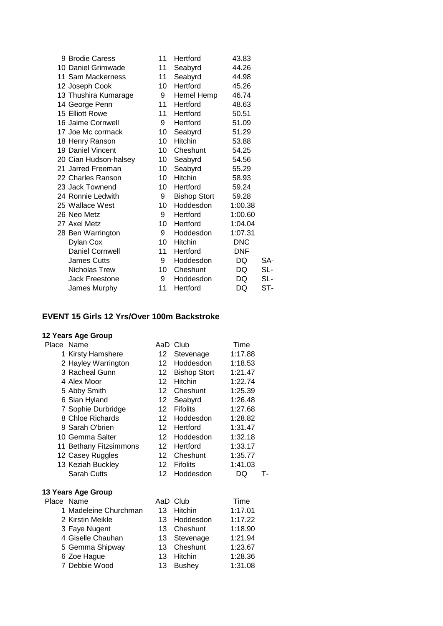| 9 Brodie Caress        | 11              | Hertford            | 43.83      |     |
|------------------------|-----------------|---------------------|------------|-----|
| 10 Daniel Grimwade     | 11              | Seabyrd             | 44.26      |     |
| 11 Sam Mackerness      | 11              | Seabyrd             | 44.98      |     |
| 12 Joseph Cook         | 10              | Hertford            | 45.26      |     |
| 13 Thushira Kumarage   | 9               | Hemel Hemp          | 46.74      |     |
| 14 George Penn         | 11              | Hertford            | 48.63      |     |
| 15 Elliott Rowe        | 11              | Hertford            | 50.51      |     |
| 16 Jaime Cornwell      | 9               | Hertford            | 51.09      |     |
| 17 Joe Mc cormack      | 10              | Seabyrd             | 51.29      |     |
| 18 Henry Ranson        | 10 <sup>°</sup> | Hitchin             | 53.88      |     |
| 19 Daniel Vincent      | 10              | Cheshunt            | 54.25      |     |
| 20 Cian Hudson-halsey  | 10              | Seabyrd             | 54.56      |     |
| 21 Jarred Freeman      | 10 <sup>°</sup> | Seabyrd             | 55.29      |     |
| 22 Charles Ranson      | 10 <sup>°</sup> | Hitchin             | 58.93      |     |
| 23 Jack Townend        | 10              | Hertford            | 59.24      |     |
| 24 Ronnie Ledwith      | 9               | <b>Bishop Stort</b> | 59.28      |     |
| 25 Wallace West        | 10              | Hoddesdon           | 1:00.38    |     |
| 26 Neo Metz            | 9               | Hertford            | 1:00.60    |     |
| 27 Axel Metz           | 10              | Hertford            | 1:04.04    |     |
| 28 Ben Warrington      | 9               | Hoddesdon           | 1:07.31    |     |
| Dylan Cox              | 10              | <b>Hitchin</b>      | <b>DNC</b> |     |
| <b>Daniel Cornwell</b> | 11              | Hertford            | <b>DNF</b> |     |
| <b>James Cutts</b>     | 9               | Hoddesdon           | DQ         | SA- |
| Nicholas Trew          | 10 <sup>1</sup> | Cheshunt            | DQ         | SL- |
| Jack Freestone         | 9               | Hoddesdon           | DQ         | SL- |
| James Murphy           | 11              | Hertford            | DQ         | ST- |

# **EVENT 15 Girls 12 Yrs/Over 100m Backstroke**

# **12 Years Age Group**

| Place Name |                        |                  | AaD Club            | Time    |    |
|------------|------------------------|------------------|---------------------|---------|----|
|            | 1 Kirsty Hamshere      | 12 <sup>1</sup>  | Stevenage           | 1:17.88 |    |
|            | 2 Hayley Warrington    | 12 <sup>12</sup> | Hoddesdon           | 1:18.53 |    |
|            | 3 Racheal Gunn         | 12               | <b>Bishop Stort</b> | 1:21.47 |    |
|            | 4 Alex Moor            | 12 <sup>2</sup>  | <b>Hitchin</b>      | 1:22.74 |    |
|            | 5 Abby Smith           | 12 <sup>1</sup>  | Cheshunt            | 1:25.39 |    |
|            | 6 Sian Hyland          | 12 <sup>7</sup>  | Seabyrd             | 1:26.48 |    |
|            | 7 Sophie Durbridge     | 12 <sup>1</sup>  | <b>Fifolits</b>     | 1:27.68 |    |
|            | 8 Chloe Richards       | 12 <sup>12</sup> | Hoddesdon           | 1:28.82 |    |
|            | 9 Sarah O'brien        | 12 <sup>1</sup>  | Hertford            | 1:31.47 |    |
|            | 10 Gemma Salter        | 12 <sup>12</sup> | Hoddesdon           | 1:32.18 |    |
|            | 11 Bethany Fitzsimmons | 12 <sup>12</sup> | Hertford            | 1:33.17 |    |
|            | 12 Casey Ruggles       | 12               | Cheshunt            | 1:35.77 |    |
|            | 13 Keziah Buckley      | 12               | <b>Fifolits</b>     | 1:41.03 |    |
|            | <b>Sarah Cutts</b>     | 12 <sup>°</sup>  | Hoddesdon           | DQ      | т. |
|            | 13 Years Age Group     |                  |                     |         |    |
| Place Name |                        |                  | AaD Club            | Time    |    |
|            | 1 Madeleine Churchman  | 13               | <b>Hitchin</b>      | 1:17.01 |    |
|            | 2 Kirstin Meikle       | 13               | Hoddesdon           | 1:17.22 |    |
|            | 3 Faye Nugent          | 13               | Cheshunt            | 1:18.90 |    |
|            | 4 Giselle Chauhan      | 13               | Stevenage           | 1:21.94 |    |
|            | 5 Gemma Shipway        | 13               | Cheshunt            | 1:23.67 |    |
|            | 6 Zoe Hague            | 13               | Hitchin             | 1:28.36 |    |

Debbie Wood 13 Bushey 1:31.08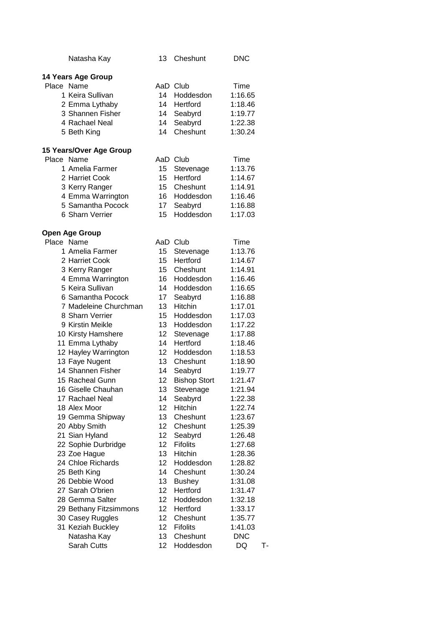|            | Natasha Kay             | 13              | Cheshunt            | <b>DNC</b> |    |
|------------|-------------------------|-----------------|---------------------|------------|----|
|            | 14 Years Age Group      |                 |                     |            |    |
| Place Name |                         |                 | AaD Club            | Time       |    |
|            | 1 Keira Sullivan        | 14              | Hoddesdon           | 1:16.65    |    |
|            | 2 Emma Lythaby          | 14              | Hertford            | 1:18.46    |    |
|            | 3 Shannen Fisher        | 14              | Seabyrd             | 1:19.77    |    |
|            | 4 Rachael Neal          | 14              | Seabyrd             | 1:22.38    |    |
|            | 5 Beth King             | 14              | Cheshunt            | 1:30.24    |    |
|            | 15 Years/Over Age Group |                 |                     |            |    |
| Place Name |                         |                 | AaD Club            | Time       |    |
|            | 1 Amelia Farmer         | 15 <sup>2</sup> | Stevenage           | 1:13.76    |    |
|            | 2 Harriet Cook          | 15              | Hertford            | 1:14.67    |    |
|            | 3 Kerry Ranger          | 15              | Cheshunt            | 1:14.91    |    |
|            | 4 Emma Warrington       | 16              | Hoddesdon           | 1:16.46    |    |
|            | 5 Samantha Pocock       | 17 <sup>2</sup> | Seabyrd             | 1:16.88    |    |
|            | 6 Sharn Verrier         | 15              | Hoddesdon           | 1:17.03    |    |
|            | <b>Open Age Group</b>   |                 |                     |            |    |
| Place Name |                         |                 | AaD Club            | Time       |    |
|            | 1 Amelia Farmer         | 15              | Stevenage           | 1:13.76    |    |
|            | 2 Harriet Cook          | 15 <sup>7</sup> | Hertford            | 1:14.67    |    |
|            | 3 Kerry Ranger          | 15 <sup>7</sup> | Cheshunt            | 1:14.91    |    |
|            | 4 Emma Warrington       | 16 <sup>1</sup> | Hoddesdon           | 1:16.46    |    |
|            | 5 Keira Sullivan        | 14              | Hoddesdon           | 1:16.65    |    |
|            | 6 Samantha Pocock       | 17              | Seabyrd             | 1:16.88    |    |
|            | 7 Madeleine Churchman   | 13              | <b>Hitchin</b>      | 1:17.01    |    |
|            | 8 Sharn Verrier         | 15              | Hoddesdon           | 1:17.03    |    |
|            | 9 Kirstin Meikle        | 13              | Hoddesdon           | 1:17.22    |    |
|            | 10 Kirsty Hamshere      | 12              | Stevenage           | 1:17.88    |    |
|            | 11 Emma Lythaby         | 14              | Hertford            | 1:18.46    |    |
|            | 12 Hayley Warrington    | 12              | Hoddesdon           | 1:18.53    |    |
|            | 13 Faye Nugent          | 13              | Cheshunt            | 1:18.90    |    |
|            | 14 Shannen Fisher       | 14              | Seabyrd             | 1:19.77    |    |
|            | 15 Racheal Gunn         | 12              | <b>Bishop Stort</b> | 1:21.47    |    |
|            | 16 Giselle Chauhan      | 13              | Stevenage           | 1:21.94    |    |
|            | 17 Rachael Neal         | 14              | Seabyrd             | 1:22.38    |    |
|            | 18 Alex Moor            | 12              | <b>Hitchin</b>      | 1:22.74    |    |
|            | 19 Gemma Shipway        | 13              | Cheshunt            | 1:23.67    |    |
|            | 20 Abby Smith           | 12 <sub>2</sub> | Cheshunt            | 1:25.39    |    |
|            | 21 Sian Hyland          | 12 <sub>2</sub> | Seabyrd             | 1:26.48    |    |
|            | 22 Sophie Durbridge     | 12              | <b>Fifolits</b>     | 1:27.68    |    |
|            | 23 Zoe Hague            | 13              | <b>Hitchin</b>      | 1:28.36    |    |
|            | 24 Chloe Richards       | 12              | Hoddesdon           | 1:28.82    |    |
|            | 25 Beth King            | 14              | Cheshunt            | 1:30.24    |    |
|            | 26 Debbie Wood          | 13              | <b>Bushey</b>       | 1:31.08    |    |
|            | 27 Sarah O'brien        | 12              | Hertford            | 1:31.47    |    |
|            | 28 Gemma Salter         | 12              | Hoddesdon           | 1:32.18    |    |
|            | 29 Bethany Fitzsimmons  | 12              | Hertford            | 1:33.17    |    |
|            | 30 Casey Ruggles        | 12              | Cheshunt            | 1:35.77    |    |
|            | 31 Keziah Buckley       | 12              | <b>Fifolits</b>     | 1:41.03    |    |
|            | Natasha Kay             | 13              | Cheshunt            | <b>DNC</b> |    |
|            | Sarah Cutts             | 12              | Hoddesdon           | DQ         | т. |
|            |                         |                 |                     |            |    |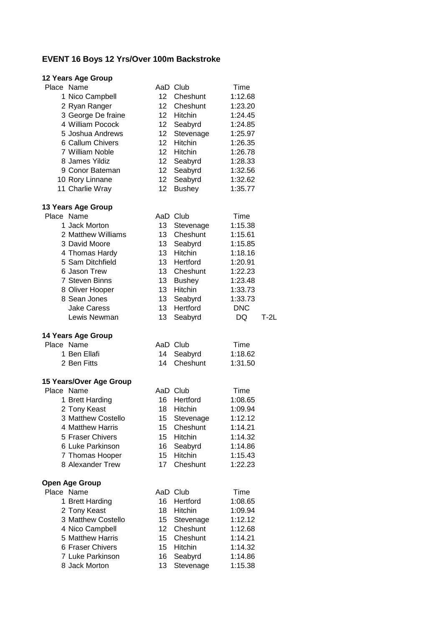# **EVENT 16 Boys 12 Yrs/Over 100m Backstroke**

| 12 Years Age Group                     |                       |                           |                    |        |
|----------------------------------------|-----------------------|---------------------------|--------------------|--------|
| Place Name                             |                       | AaD Club                  | Time               |        |
| 1 Nico Campbell                        | 12 <sup>2</sup>       | Cheshunt                  | 1:12.68            |        |
| 2 Ryan Ranger                          | 12 <sup>1</sup>       | Cheshunt                  | 1:23.20            |        |
| 3 George De fraine                     | 12 <sup>12</sup>      | Hitchin                   | 1:24.45            |        |
| 4 William Pocock                       | 12 <sup>1</sup>       | Seabyrd                   | 1:24.85            |        |
| 5 Joshua Andrews                       | 12                    | Stevenage                 | 1:25.97            |        |
| 6 Callum Chivers                       | 12 <sup>2</sup>       | <b>Hitchin</b>            | 1:26.35            |        |
| 7 William Noble                        | 12 <sup>2</sup>       | Hitchin                   | 1:26.78            |        |
| 8 James Yildiz                         | 12                    | Seabyrd                   | 1:28.33            |        |
| 9 Conor Bateman                        | 12                    | Seabyrd                   | 1:32.56            |        |
| 10 Rory Linnane                        | 12                    | Seabyrd                   | 1:32.62            |        |
| 11 Charlie Wray                        | 12                    | <b>Bushey</b>             | 1:35.77            |        |
| 13 Years Age Group                     |                       |                           |                    |        |
| Place Name                             |                       | AaD Club                  | Time               |        |
| 1 Jack Morton                          | 13                    | Stevenage                 | 1:15.38            |        |
| 2 Matthew Williams                     | 13                    | Cheshunt                  | 1:15.61            |        |
| 3 David Moore                          | 13                    | Seabyrd                   | 1:15.85            |        |
| 4 Thomas Hardy                         | 13                    | Hitchin                   | 1:18.16            |        |
| 5 Sam Ditchfield                       | 13                    | Hertford                  | 1:20.91            |        |
| 6 Jason Trew                           | 13                    | Cheshunt                  | 1:22.23            |        |
| <b>7 Steven Binns</b>                  | 13                    | <b>Bushey</b>             | 1:23.48            |        |
| 8 Oliver Hooper                        | 13 <sup>2</sup>       | Hitchin                   | 1:33.73            |        |
| 8 Sean Jones                           | 13                    | Seabyrd                   | 1:33.73            |        |
| <b>Jake Caress</b>                     | 13                    | Hertford                  | <b>DNC</b>         |        |
| Lewis Newman                           | 13                    | Seabyrd                   | DQ                 | $T-2L$ |
|                                        |                       |                           |                    |        |
|                                        |                       |                           |                    |        |
| 14 Years Age Group<br>Place Name       |                       |                           | Time               |        |
| 1 Ben Ellafi                           | 14                    | AaD Club                  |                    |        |
| 2 Ben Fitts                            | 14                    | Seabyrd<br>Cheshunt       | 1:18.62<br>1:31.50 |        |
|                                        |                       |                           |                    |        |
| 15 Years/Over Age Group                |                       | AaD Club                  |                    |        |
| Place Name                             | 16                    | Hertford                  | Time               |        |
| 1 Brett Harding                        |                       |                           | 1:08.65            |        |
| 2 Tony Keast                           | 18                    | Hitchin                   | 1:09.94            |        |
| 3 Matthew Costello<br>4 Matthew Harris | 15                    | Stevenage                 | 1:12.12            |        |
| 5 Fraser Chivers                       | 15<br>15 <sub>2</sub> | Cheshunt                  | 1:14.21            |        |
| 6 Luke Parkinson                       |                       | Hitchin                   | 1:14.32            |        |
|                                        | 16                    | Seabyrd<br><b>Hitchin</b> | 1:14.86            |        |
| 7 Thomas Hooper<br>8 Alexander Trew    | 15<br>17              | Cheshunt                  | 1:15.43<br>1:22.23 |        |
|                                        |                       |                           |                    |        |
| <b>Open Age Group</b>                  |                       |                           |                    |        |
| Place Name                             |                       | AaD Club                  | Time               |        |
| 1 Brett Harding                        | 16                    | Hertford                  | 1:08.65            |        |
| 2 Tony Keast                           | 18                    | Hitchin                   | 1:09.94            |        |
| 3 Matthew Costello                     | 15                    | Stevenage                 | 1:12.12            |        |
| 4 Nico Campbell                        | 12                    | Cheshunt                  | 1:12.68            |        |
| 5 Matthew Harris                       | 15                    | Cheshunt                  | 1:14.21            |        |
| 6 Fraser Chivers                       | 15                    | Hitchin                   | 1:14.32            |        |
| 7 Luke Parkinson<br>8 Jack Morton      | 16<br>13              | Seabyrd<br>Stevenage      | 1:14.86<br>1:15.38 |        |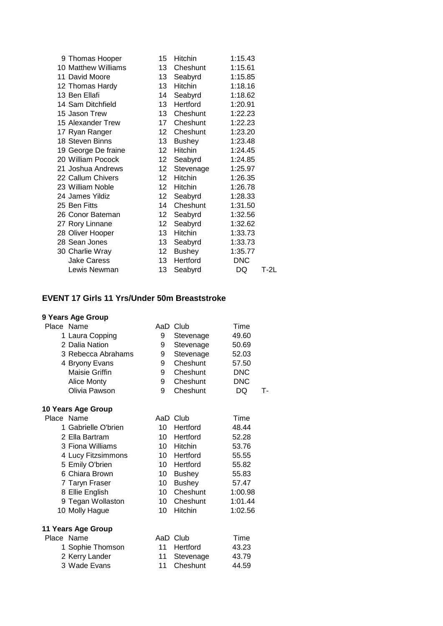| 9 Thomas Hooper     | 15               | Hitchin       | 1:15.43    |      |
|---------------------|------------------|---------------|------------|------|
| 10 Matthew Williams | 13 <sup>7</sup>  | Cheshunt      | 1:15.61    |      |
| 11 David Moore      | 13               | Seabyrd       | 1:15.85    |      |
| 12 Thomas Hardy     | 13               | Hitchin       | 1:18.16    |      |
| 13 Ben Ellafi       | 14               | Seabyrd       | 1:18.62    |      |
| 14 Sam Ditchfield   | 13               | Hertford      | 1:20.91    |      |
| 15 Jason Trew       | 13               | Cheshunt      | 1:22.23    |      |
| 15 Alexander Trew   | 17               | Cheshunt      | 1:22.23    |      |
| 17 Ryan Ranger      | 12 <sup>1</sup>  | Cheshunt      | 1:23.20    |      |
| 18 Steven Binns     | 13 <sup>7</sup>  | <b>Bushey</b> | 1:23.48    |      |
| 19 George De fraine | 12               | Hitchin       | 1:24.45    |      |
| 20 William Pocock   | 12 <sub>2</sub>  | Seabyrd       | 1:24.85    |      |
| 21 Joshua Andrews   | 12 <sup>12</sup> | Stevenage     | 1:25.97    |      |
| 22 Callum Chivers   | 12               | Hitchin       | 1:26.35    |      |
| 23 William Noble    | 12 <sub>2</sub>  | Hitchin       | 1:26.78    |      |
| 24 James Yildiz     | 12 <sub>2</sub>  | Seabyrd       | 1:28.33    |      |
| 25 Ben Fitts        | 14               | Cheshunt      | 1:31.50    |      |
| 26 Conor Bateman    | 12               | Seabyrd       | 1:32.56    |      |
| 27 Rory Linnane     | 12 <sub>2</sub>  | Seabyrd       | 1:32.62    |      |
| 28 Oliver Hooper    | 13               | Hitchin       | 1:33.73    |      |
| 28 Sean Jones       | 13               | Seabyrd       | 1:33.73    |      |
| 30 Charlie Wray     | 12 <sub>2</sub>  | <b>Bushey</b> | 1:35.77    |      |
| <b>Jake Caress</b>  | 13 <sup>7</sup>  | Hertford      | <b>DNC</b> |      |
| Lewis Newman        | 13               | Seabyrd       | DQ         | T-2L |
|                     |                  |               |            |      |

# **EVENT 17 Girls 11 Yrs/Under 50m Breaststroke**

| Place Name |                     | AaD             | Club           | Time       |    |
|------------|---------------------|-----------------|----------------|------------|----|
|            | 1 Laura Copping     | 9               | Stevenage      | 49.60      |    |
|            | 2 Dalia Nation      | 9               | Stevenage      | 50.69      |    |
|            | 3 Rebecca Abrahams  | 9               | Stevenage      | 52.03      |    |
|            | 4 Bryony Evans      | 9               | Cheshunt       | 57.50      |    |
|            | Maisie Griffin      | 9               | Cheshunt       | <b>DNC</b> |    |
|            | <b>Alice Monty</b>  | 9               | Cheshunt       | <b>DNC</b> |    |
|            | Olivia Pawson       | 9               | Cheshunt       | DQ         | т. |
|            | 10 Years Age Group  |                 |                |            |    |
| Place Name |                     |                 | AaD Club       | Time       |    |
|            | 1 Gabrielle O'brien | 10 <sup>1</sup> | Hertford       | 48.44      |    |
|            | 2 Ella Bartram      | 10              | Hertford       | 52.28      |    |
|            | 3 Fiona Williams    | 10              | <b>Hitchin</b> | 53.76      |    |
|            | 4 Lucy Fitzsimmons  | 10 <sup>°</sup> | Hertford       | 55.55      |    |
|            | 5 Emily O'brien     | 10              | Hertford       | 55.82      |    |
|            | 6 Chiara Brown      | 10              | <b>Bushey</b>  | 55.83      |    |
|            | 7 Taryn Fraser      | 10              | <b>Bushey</b>  | 57.47      |    |
|            | 8 Ellie English     | 10              | Cheshunt       | 1:00.98    |    |
|            | 9 Tegan Wollaston   | 10              | Cheshunt       | 1:01.44    |    |
|            | 10 Molly Hague      | 10              | Hitchin        | 1:02.56    |    |
|            | 11 Years Age Group  |                 |                |            |    |
| Place Name |                     |                 | AaD Club       | Time       |    |
|            | 1 Sophie Thomson    | 11              | Hertford       | 43.23      |    |
|            | 2 Kerry Lander      | 11              | Stevenage      | 43.79      |    |
|            | 3 Wade Evans        | 11              | Cheshunt       | 44.59      |    |
|            |                     |                 |                |            |    |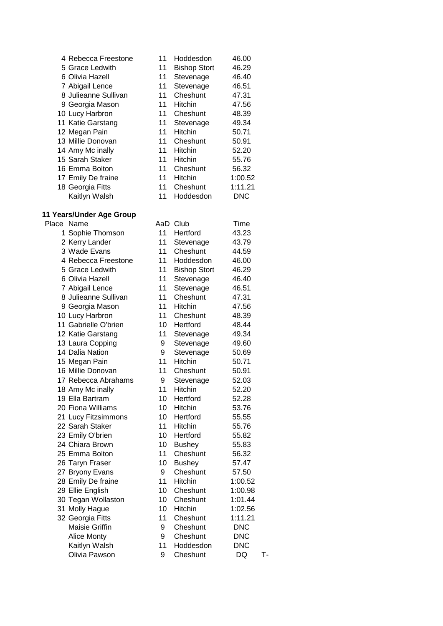| 4 Rebecca Freestone  | 11 | Hoddesdon           | 46.00      |
|----------------------|----|---------------------|------------|
| 5 Grace Ledwith      | 11 | <b>Bishop Stort</b> | 46.29      |
| 6 Olivia Hazell      | 11 | Stevenage           | 46.40      |
| 7 Abigail Lence      | 11 | Stevenage           | 46.51      |
| 8 Julieanne Sullivan | 11 | Cheshunt            | 47.31      |
| 9 Georgia Mason      | 11 | <b>Hitchin</b>      | 47.56      |
| 10 Lucy Harbron      | 11 | Cheshunt            | 48.39      |
| 11 Katie Garstang    | 11 | Stevenage           | 49.34      |
| 12 Megan Pain        | 11 | <b>Hitchin</b>      | 50.71      |
| 13 Millie Donovan    | 11 | Cheshunt            | 50.91      |
| 14 Amy Mc inally     | 11 | <b>Hitchin</b>      | 52.20      |
| 15 Sarah Staker      | 11 | <b>Hitchin</b>      | 55.76      |
| 16 Emma Bolton       | 11 | Cheshunt            | 56.32      |
| 17 Emily De fraine   | 11 | <b>Hitchin</b>      | 1:00.52    |
| 18 Georgia Fitts     | 11 | Cheshunt            | 1:11.21    |
| Kaitlyn Walsh        | 11 | Hoddesdon           | <b>DNC</b> |

#### **11 Years/Under Age Group**

| Place | Name                 | AaD | Club                | Time       |    |
|-------|----------------------|-----|---------------------|------------|----|
|       | 1 Sophie Thomson     | 11  | Hertford            | 43.23      |    |
|       | 2 Kerry Lander       | 11  | Stevenage           | 43.79      |    |
|       | 3 Wade Evans         | 11  | Cheshunt            | 44.59      |    |
|       | 4 Rebecca Freestone  | 11  | Hoddesdon           | 46.00      |    |
|       | 5 Grace Ledwith      | 11  | <b>Bishop Stort</b> | 46.29      |    |
|       | 6 Olivia Hazell      | 11  | Stevenage           | 46.40      |    |
|       | 7 Abigail Lence      | 11  | Stevenage           | 46.51      |    |
|       | 8 Julieanne Sullivan | 11  | Cheshunt            | 47.31      |    |
|       | 9 Georgia Mason      | 11  | Hitchin             | 47.56      |    |
|       | 10 Lucy Harbron      | 11  | Cheshunt            | 48.39      |    |
|       | 11 Gabrielle O'brien | 10  | Hertford            | 48.44      |    |
|       | 12 Katie Garstang    | 11  | Stevenage           | 49.34      |    |
|       | 13 Laura Copping     | 9   | Stevenage           | 49.60      |    |
|       | 14 Dalia Nation      | 9   | Stevenage           | 50.69      |    |
|       | 15 Megan Pain        | 11  | Hitchin             | 50.71      |    |
|       | 16 Millie Donovan    | 11  | Cheshunt            | 50.91      |    |
|       | 17 Rebecca Abrahams  | 9   | Stevenage           | 52.03      |    |
|       | 18 Amy Mc inally     | 11  | Hitchin             | 52.20      |    |
|       | 19 Ella Bartram      | 10  | Hertford            | 52.28      |    |
|       | 20 Fiona Williams    | 10  | Hitchin             | 53.76      |    |
|       | 21 Lucy Fitzsimmons  | 10  | Hertford            | 55.55      |    |
|       | 22 Sarah Staker      | 11  | <b>Hitchin</b>      | 55.76      |    |
|       | 23 Emily O'brien     | 10  | Hertford            | 55.82      |    |
|       | 24 Chiara Brown      | 10  | <b>Bushey</b>       | 55.83      |    |
|       | 25 Emma Bolton       | 11  | Cheshunt            | 56.32      |    |
|       | 26 Taryn Fraser      | 10  | <b>Bushey</b>       | 57.47      |    |
|       | 27 Bryony Evans      | 9   | Cheshunt            | 57.50      |    |
|       | 28 Emily De fraine   | 11  | Hitchin             | 1:00.52    |    |
|       | 29 Ellie English     | 10  | Cheshunt            | 1:00.98    |    |
|       | 30 Tegan Wollaston   | 10  | Cheshunt            | 1:01.44    |    |
|       | 31 Molly Hague       | 10  | Hitchin             | 1:02.56    |    |
|       | 32 Georgia Fitts     | 11  | Cheshunt            | 1:11.21    |    |
|       | Maisie Griffin       | 9   | Cheshunt            | <b>DNC</b> |    |
|       | <b>Alice Monty</b>   | 9   | Cheshunt            | <b>DNC</b> |    |
|       | Kaitlyn Walsh        | 11  | Hoddesdon           | <b>DNC</b> |    |
|       | Olivia Pawson        | 9   | Cheshunt            | DQ         | т. |
|       |                      |     |                     |            |    |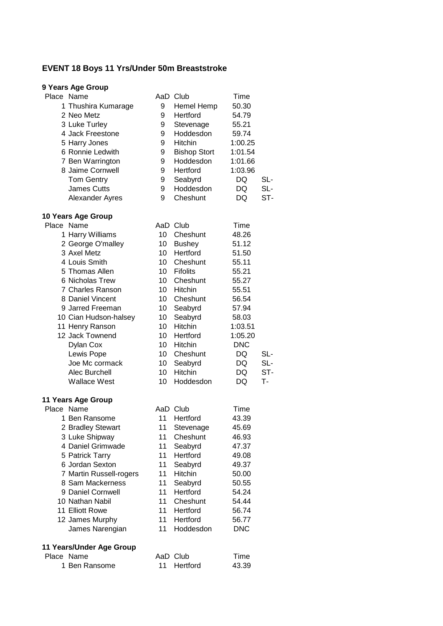## **EVENT 18 Boys 11 Yrs/Under 50m Breaststroke**

# **9 Years Age Group**

| Place Name             | AaD | Club                | Time    |     |
|------------------------|-----|---------------------|---------|-----|
| 1 Thushira Kumarage    | 9   | Hemel Hemp          | 50.30   |     |
| 2 Neo Metz             | 9   | Hertford            | 54.79   |     |
| 3 Luke Turley          | 9   | Stevenage           | 55.21   |     |
| 4 Jack Freestone       | 9   | Hoddesdon           | 59.74   |     |
| 5 Harry Jones          | 9   | Hitchin             | 1:00.25 |     |
| 6 Ronnie Ledwith       | 9   | <b>Bishop Stort</b> | 1:01.54 |     |
| 7 Ben Warrington       | 9   | Hoddesdon           | 1:01.66 |     |
| 8 Jaime Cornwell       | 9   | Hertford            | 1:03.96 |     |
| <b>Tom Gentry</b>      | 9   | Seabyrd             | DQ      | SL- |
| <b>James Cutts</b>     | 9   | Hoddesdon           | DQ      | SL- |
| <b>Alexander Ayres</b> | 9   | Cheshunt            | DQ      | ST- |
|                        |     |                     |         |     |

#### **10 Years Age Group**

| Place Name     | AaD                                                                                                                                                                                                                                   | Club            | Time       |     |
|----------------|---------------------------------------------------------------------------------------------------------------------------------------------------------------------------------------------------------------------------------------|-----------------|------------|-----|
|                | 10                                                                                                                                                                                                                                    | Cheshunt        | 48.26      |     |
|                | 10                                                                                                                                                                                                                                    | <b>Bushey</b>   | 51.12      |     |
|                | 10                                                                                                                                                                                                                                    | Hertford        | 51.50      |     |
|                | 10                                                                                                                                                                                                                                    | Cheshunt        | 55.11      |     |
|                | 10                                                                                                                                                                                                                                    | <b>Fifolits</b> | 55.21      |     |
|                | 10                                                                                                                                                                                                                                    | Cheshunt        | 55.27      |     |
|                | 10                                                                                                                                                                                                                                    | <b>Hitchin</b>  | 55.51      |     |
|                | 10                                                                                                                                                                                                                                    | Cheshunt        | 56.54      |     |
|                | 10                                                                                                                                                                                                                                    | Seabyrd         | 57.94      |     |
|                | 10                                                                                                                                                                                                                                    | Seabyrd         | 58.03      |     |
|                | 10                                                                                                                                                                                                                                    | <b>Hitchin</b>  | 1:03.51    |     |
|                | 10                                                                                                                                                                                                                                    | Hertford        | 1:05.20    |     |
| Dylan Cox      | 10                                                                                                                                                                                                                                    | <b>Hitchin</b>  | <b>DNC</b> |     |
| Lewis Pope     | 10                                                                                                                                                                                                                                    | Cheshunt        | DQ         | SL- |
| Joe Mc cormack | 10                                                                                                                                                                                                                                    | Seabyrd         | DQ         | SL- |
| Alec Burchell  | 10                                                                                                                                                                                                                                    | <b>Hitchin</b>  | DQ.        | ST- |
| Wallace West   | 10                                                                                                                                                                                                                                    | Hoddesdon       | DQ         | т.  |
|                |                                                                                                                                                                                                                                       |                 |            |     |
|                | 1 Harry Williams<br>2 George O'malley<br>3 Axel Metz<br>4 Louis Smith<br>5 Thomas Allen<br>6 Nicholas Trew<br>7 Charles Ranson<br>8 Daniel Vincent<br>9 Jarred Freeman<br>10 Cian Hudson-halsey<br>11 Henry Ranson<br>12 Jack Townend |                 |            |     |

| Place Name               |    | AaD Club       | Time       |
|--------------------------|----|----------------|------------|
| 1 Ben Ransome            | 11 | Hertford       | 43.39      |
| 2 Bradley Stewart        | 11 | Stevenage      | 45.69      |
| 3 Luke Shipway           | 11 | Cheshunt       | 46.93      |
| 4 Daniel Grimwade        | 11 | Seabyrd        | 47.37      |
| 5 Patrick Tarry          | 11 | Hertford       | 49.08      |
| 6 Jordan Sexton          | 11 | Seabyrd        | 49.37      |
| 7 Martin Russell-rogers  | 11 | <b>Hitchin</b> | 50.00      |
| 8 Sam Mackerness         | 11 | Seabyrd        | 50.55      |
| 9 Daniel Cornwell        | 11 | Hertford       | 54.24      |
| 10 Nathan Nabil          | 11 | Cheshunt       | 54.44      |
| 11 Elliott Rowe          | 11 | Hertford       | 56.74      |
| 12 James Murphy          | 11 | Hertford       | 56.77      |
| James Narengian          | 11 | Hoddesdon      | <b>DNC</b> |
| 11 Years/Under Age Group |    |                |            |
| Place Name               |    | AaD Club       | Time       |
| 1 Ben Ransome            | 11 | Hertford       | 43.39      |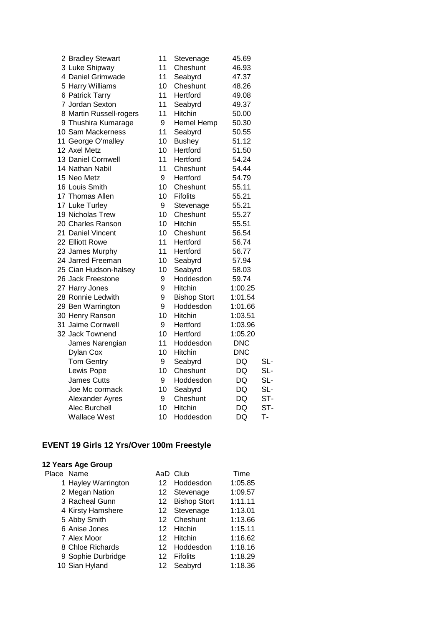| 2 Bradley Stewart       | 11 | Stevenage           | 45.69      |     |
|-------------------------|----|---------------------|------------|-----|
| 3 Luke Shipway          | 11 | Cheshunt            | 46.93      |     |
| 4 Daniel Grimwade       | 11 | Seabyrd             | 47.37      |     |
| 5 Harry Williams        | 10 | Cheshunt            | 48.26      |     |
| 6 Patrick Tarry         | 11 | Hertford            | 49.08      |     |
| 7 Jordan Sexton         | 11 | Seabyrd             | 49.37      |     |
| 8 Martin Russell-rogers | 11 | Hitchin             | 50.00      |     |
| 9 Thushira Kumarage     | 9  | Hemel Hemp          | 50.30      |     |
| 10 Sam Mackerness       | 11 | Seabyrd             | 50.55      |     |
| 11 George O'malley      | 10 | <b>Bushey</b>       | 51.12      |     |
| 12 Axel Metz            | 10 | Hertford            | 51.50      |     |
| 13 Daniel Cornwell      | 11 | Hertford            | 54.24      |     |
| 14 Nathan Nabil         | 11 | Cheshunt            | 54.44      |     |
| 15 Neo Metz             | 9  | Hertford            | 54.79      |     |
| 16 Louis Smith          | 10 | Cheshunt            | 55.11      |     |
| 17 Thomas Allen         | 10 | <b>Fifolits</b>     | 55.21      |     |
| 17 Luke Turley          | 9  | Stevenage           | 55.21      |     |
| 19 Nicholas Trew        | 10 | Cheshunt            | 55.27      |     |
| 20 Charles Ranson       | 10 | Hitchin             | 55.51      |     |
| 21 Daniel Vincent       | 10 | Cheshunt            | 56.54      |     |
| 22 Elliott Rowe         | 11 | Hertford            | 56.74      |     |
| 23 James Murphy         | 11 | Hertford            | 56.77      |     |
| 24 Jarred Freeman       | 10 | Seabyrd             | 57.94      |     |
| 25 Cian Hudson-halsey   | 10 | Seabyrd             | 58.03      |     |
| 26 Jack Freestone       | 9  | Hoddesdon           | 59.74      |     |
| 27 Harry Jones          | 9  | Hitchin             | 1:00.25    |     |
| 28 Ronnie Ledwith       | 9  | <b>Bishop Stort</b> | 1:01.54    |     |
| 29 Ben Warrington       | 9  | Hoddesdon           | 1:01.66    |     |
| 30 Henry Ranson         | 10 | Hitchin             | 1:03.51    |     |
| 31 Jaime Cornwell       | 9  | Hertford            | 1:03.96    |     |
| 32 Jack Townend         | 10 | Hertford            | 1:05.20    |     |
| James Narengian         | 11 | Hoddesdon           | <b>DNC</b> |     |
| <b>Dylan Cox</b>        | 10 | Hitchin             | <b>DNC</b> |     |
| <b>Tom Gentry</b>       | 9  | Seabyrd             | <b>DQ</b>  | SL- |
| Lewis Pope              | 10 | Cheshunt            | <b>DQ</b>  | SL- |
| <b>James Cutts</b>      | 9  | Hoddesdon           | DQ         | SL- |
| Joe Mc cormack          | 10 | Seabyrd             | DQ         | SL- |
| Alexander Ayres         | 9  | Cheshunt            | DQ         | ST- |
| <b>Alec Burchell</b>    | 10 | Hitchin             | DQ         | ST- |
| <b>Wallace West</b>     | 10 | Hoddesdon           | DQ         | T-  |

# **EVENT 19 Girls 12 Yrs/Over 100m Freestyle**

| Place Name          |    | AaD Club        | Time    |
|---------------------|----|-----------------|---------|
| 1 Hayley Warrington |    | 12 Hoddesdon    | 1:05.85 |
| 2 Megan Nation      |    | 12 Stevenage    | 1:09.57 |
| 3 Racheal Gunn      |    | 12 Bishop Stort | 1:11.11 |
| 4 Kirsty Hamshere   |    | 12 Stevenage    | 1:13.01 |
| 5 Abby Smith        |    | 12 Cheshunt     | 1:13.66 |
| 6 Anise Jones       |    | 12 Hitchin      | 1:15.11 |
| 7 Alex Moor         |    | 12 Hitchin      | 1:16.62 |
| 8 Chloe Richards    |    | 12 Hoddesdon    | 1:18.16 |
| 9 Sophie Durbridge  | 12 | <b>Fifolits</b> | 1:18.29 |
| 10 Sian Hyland      | 12 | Seabyrd         | 1:18.36 |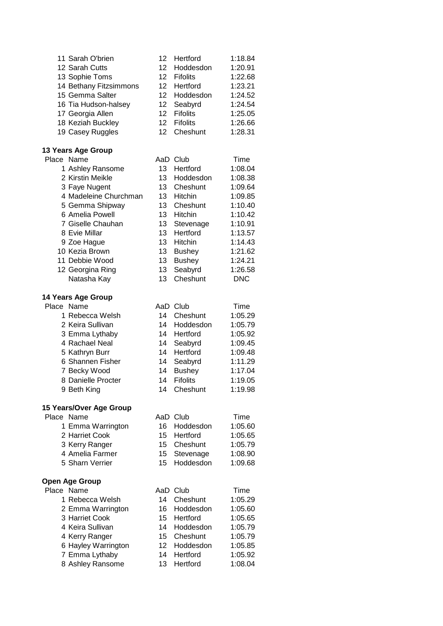| 11 Sarah O'brien          | 12               | Hertford        | 1:18.84    |
|---------------------------|------------------|-----------------|------------|
| 12 Sarah Cutts            | 12               | Hoddesdon       | 1:20.91    |
| 13 Sophie Toms            | 12 <sub>2</sub>  | <b>Fifolits</b> | 1:22.68    |
| 14 Bethany Fitzsimmons    | 12 <sub>2</sub>  | Hertford        | 1:23.21    |
| 15 Gemma Salter           | 12 <sub>2</sub>  | Hoddesdon       | 1:24.52    |
| 16 Tia Hudson-halsey      | 12               | Seabyrd         | 1:24.54    |
| 17 Georgia Allen          | 12 <sup>2</sup>  | <b>Fifolits</b> | 1:25.05    |
| 18 Keziah Buckley         | 12               | <b>Fifolits</b> | 1:26.66    |
| 19 Casey Ruggles          | 12               | Cheshunt        | 1:28.31    |
|                           |                  |                 |            |
| 13 Years Age Group        |                  |                 |            |
| Place Name                |                  | AaD Club        | Time       |
| 1 Ashley Ransome          | 13               | Hertford        | 1:08.04    |
| 2 Kirstin Meikle          | 13               | Hoddesdon       | 1:08.38    |
| 3 Faye Nugent             | 13               | Cheshunt        | 1:09.64    |
| 4 Madeleine Churchman     | 13               | Hitchin         | 1:09.85    |
| 5 Gemma Shipway           | 13               | Cheshunt        | 1:10.40    |
| 6 Amelia Powell           | 13               | Hitchin         | 1:10.42    |
| 7 Giselle Chauhan         | 13               | Stevenage       | 1:10.91    |
| 8 Evie Millar             | 13               | Hertford        | 1:13.57    |
| 9 Zoe Hague               | 13               | Hitchin         | 1:14.43    |
| 10 Kezia Brown            | 13               | <b>Bushey</b>   | 1:21.62    |
| 11 Debbie Wood            | 13               |                 | 1:24.21    |
|                           |                  | <b>Bushey</b>   |            |
| 12 Georgina Ring          | 13               | Seabyrd         | 1:26.58    |
| Natasha Kay               | 13               | Cheshunt        | <b>DNC</b> |
| <b>14 Years Age Group</b> |                  |                 |            |
| Place Name                |                  | AaD Club        | Time       |
| 1 Rebecca Welsh           | 14               | Cheshunt        | 1:05.29    |
| 2 Keira Sullivan          | 14               | Hoddesdon       | 1:05.79    |
| 3 Emma Lythaby            | 14               | Hertford        | 1:05.92    |
| 4 Rachael Neal            | 14               | Seabyrd         | 1:09.45    |
| 5 Kathryn Burr            | 14               | Hertford        | 1:09.48    |
| 6 Shannen Fisher          | 14               | Seabyrd         | 1:11.29    |
| 7 Becky Wood              | 14               | <b>Bushey</b>   | 1:17.04    |
| 8 Danielle Procter        | 14               | <b>Fifolits</b> | 1:19.05    |
| 9 Beth King               | 14               | Cheshunt        | 1:19.98    |
|                           |                  |                 |            |
| 15 Years/Over Age Group   |                  |                 |            |
| Place Name                |                  | AaD Club        | Time       |
| 1 Emma Warrington         | 16               | Hoddesdon       | 1:05.60    |
| 2 Harriet Cook            | 15 <sub>15</sub> | Hertford        | 1:05.65    |
| 3 Kerry Ranger            | 15               | Cheshunt        | 1:05.79    |
| 4 Amelia Farmer           | 15 <sub>1</sub>  | Stevenage       | 1:08.90    |
| 5 Sharn Verrier           | 15               | Hoddesdon       | 1:09.68    |
|                           |                  |                 |            |
| Open Age Group            |                  |                 |            |
| Place Name                |                  | AaD Club        | Time       |
| 1 Rebecca Welsh           | 14               | Cheshunt        | 1:05.29    |
| 2 Emma Warrington         | 16               | Hoddesdon       | 1:05.60    |
| 3 Harriet Cook            | 15               | Hertford        | 1:05.65    |
| 4 Keira Sullivan          | 14               | Hoddesdon       | 1:05.79    |
| 4 Kerry Ranger            | 15               | Cheshunt        | 1:05.79    |
| 6 Hayley Warrington       | 12 <sub>2</sub>  | Hoddesdon       | 1:05.85    |
| 7 Emma Lythaby            | 14               | Hertford        | 1:05.92    |
| 8 Ashley Ransome          | 13               | Hertford        | 1:08.04    |
|                           |                  |                 |            |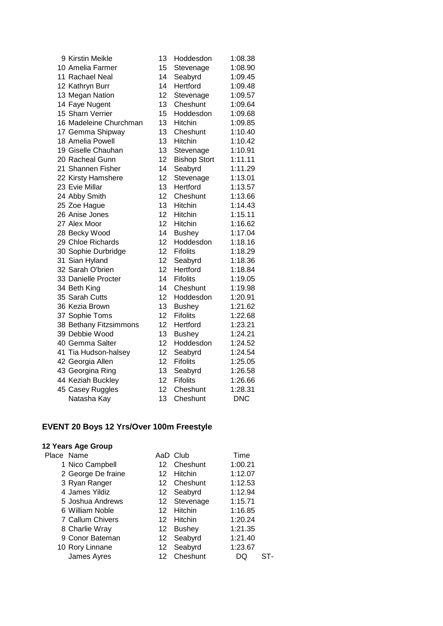| 9 Kirstin Meikle       | 13 | Hoddesdon           | 1:08.38    |
|------------------------|----|---------------------|------------|
| 10 Amelia Farmer       | 15 | Stevenage           | 1:08.90    |
| 11 Rachael Neal        | 14 | Seabyrd             | 1:09.45    |
| 12 Kathryn Burr        | 14 | Hertford            | 1:09.48    |
| 13 Megan Nation        | 12 | Stevenage           | 1:09.57    |
| 14 Faye Nugent         | 13 | Cheshunt            | 1:09.64    |
| 15 Sharn Verrier       | 15 | Hoddesdon           | 1:09.68    |
| 16 Madeleine Churchman | 13 | Hitchin             | 1:09.85    |
| 17 Gemma Shipway       | 13 | Cheshunt            | 1:10.40    |
| 18 Amelia Powell       | 13 | Hitchin             | 1:10.42    |
| 19 Giselle Chauhan     | 13 | Stevenage           | 1:10.91    |
| 20 Racheal Gunn        | 12 | <b>Bishop Stort</b> | 1:11.11    |
| 21 Shannen Fisher      | 14 | Seabyrd             | 1:11.29    |
| 22 Kirsty Hamshere     | 12 | Stevenage           | 1:13.01    |
| 23 Evie Millar         | 13 | Hertford            | 1:13.57    |
| 24 Abby Smith          | 12 | Cheshunt            | 1:13.66    |
| 25 Zoe Hague           | 13 | Hitchin             | 1:14.43    |
| 26 Anise Jones         | 12 | <b>Hitchin</b>      | 1:15.11    |
| 27 Alex Moor           | 12 | Hitchin             | 1:16.62    |
| 28 Becky Wood          | 14 | <b>Bushey</b>       | 1:17.04    |
| 29 Chloe Richards      | 12 | Hoddesdon           | 1:18.16    |
| 30 Sophie Durbridge    | 12 | <b>Fifolits</b>     | 1:18.29    |
| 31 Sian Hyland         | 12 | Seabyrd             | 1:18.36    |
| 32 Sarah O'brien       | 12 | Hertford            | 1:18.84    |
| 33 Danielle Procter    | 14 | <b>Fifolits</b>     | 1:19.05    |
| 34 Beth King           | 14 | Cheshunt            | 1:19.98    |
| 35 Sarah Cutts         | 12 | Hoddesdon           | 1:20.91    |
| 36 Kezia Brown         | 13 | <b>Bushey</b>       | 1:21.62    |
| 37 Sophie Toms         | 12 | <b>Fifolits</b>     | 1:22.68    |
| 38 Bethany Fitzsimmons | 12 | Hertford            | 1:23.21    |
| 39 Debbie Wood         | 13 | <b>Bushey</b>       | 1:24.21    |
| 40 Gemma Salter        | 12 | Hoddesdon           | 1:24.52    |
| 41 Tia Hudson-halsey   | 12 | Seabyrd             | 1:24.54    |
| 42 Georgia Allen       | 12 | <b>Fifolits</b>     | 1:25.05    |
| 43 Georgina Ring       | 13 | Seabyrd             | 1:26.58    |
| 44 Keziah Buckley      | 12 | <b>Fifolits</b>     | 1:26.66    |
| 45 Casey Ruggles       | 12 | Cheshunt            | 1:28.31    |
| Natasha Kay            | 13 | Cheshunt            | <b>DNC</b> |

# **EVENT 20 Boys 12 Yrs/Over 100m Freestyle**

| Place Name         | AaD | Club          | Time    |  |
|--------------------|-----|---------------|---------|--|
| 1 Nico Campbell    | 12  | Cheshunt      | 1:00.21 |  |
| 2 George De fraine | 12  | Hitchin       | 1:12.07 |  |
| 3 Ryan Ranger      | 12  | Cheshunt      | 1:12.53 |  |
| 4 James Yildiz     |     | 12 Seabyrd    | 1:12.94 |  |
| 5 Joshua Andrews   |     | 12 Stevenage  | 1:15.71 |  |
| 6 William Noble    | 12  | Hitchin       | 1:16.85 |  |
| 7 Callum Chivers   | 12  | Hitchin       | 1:20.24 |  |
| 8 Charlie Wray     | 12  | <b>Bushey</b> | 1:21.35 |  |
| 9 Conor Bateman    | 12  | Seabyrd       | 1:21.40 |  |
| 10 Rory Linnane    | 12  | Seabyrd       | 1:23.67 |  |
| James Ayres        | 12  | Cheshunt      | DQ      |  |
|                    |     |               |         |  |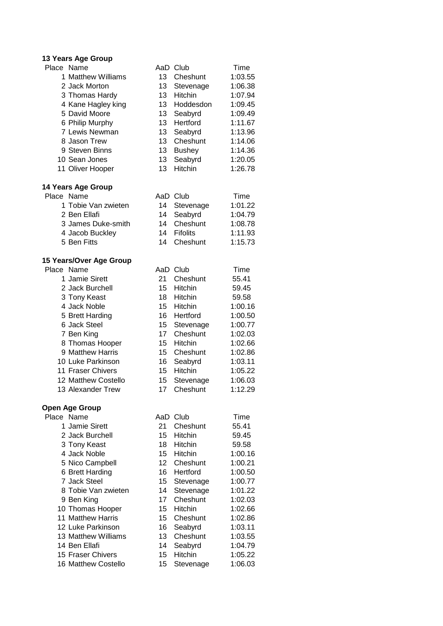#### **13 Years Age Group**

| Place Name          |    | AaD Club        | Time    |
|---------------------|----|-----------------|---------|
| 1 Matthew Williams  | 13 | Cheshunt        | 1:03.55 |
| 2 Jack Morton       | 13 | Stevenage       | 1:06.38 |
| 3 Thomas Hardy      | 13 | <b>Hitchin</b>  | 1:07.94 |
| 4 Kane Hagley king  | 13 | Hoddesdon       | 1:09.45 |
| 5 David Moore       | 13 | Seabyrd         | 1:09.49 |
| 6 Philip Murphy     | 13 | Hertford        | 1:11.67 |
| 7 Lewis Newman      | 13 | Seabyrd         | 1:13.96 |
| 8 Jason Trew        | 13 | Cheshunt        | 1:14.06 |
| 9 Steven Binns      | 13 | <b>Bushey</b>   | 1:14.36 |
| 10 Sean Jones       | 13 | Seabyrd         | 1:20.05 |
| 11 Oliver Hooper    | 13 | Hitchin         | 1:26.78 |
| 14 Years Age Group  |    |                 |         |
| Place Name          |    | AaD Club        | Time    |
| 1 Tobie Van zwieten | 14 | Stevenage       | 1:01.22 |
| 2 Ben Ellafi        | 14 | Seabyrd         | 1:04.79 |
| 3 James Duke-smith  |    | 14 Cheshunt     | 1:08.78 |
| 4 Jacob Buckley     | 14 | <b>Fifolits</b> | 1:11.93 |
| 5 Ben Fitts         | 14 | Cheshunt        | 1:15.73 |
|                     |    |                 |         |

#### **15 Years/Over Age Group**

| Place Name              |    | AaD Club                                | Time    |
|-------------------------|----|-----------------------------------------|---------|
| 1 Jamie Sirett          | 21 | Cheshunt                                | 55.41   |
| 2 Jack Burchell         | 15 | <b>Hitchin</b>                          | 59.45   |
| 3 Tony Keast            | 18 | <b>Hitchin</b>                          | 59.58   |
| 4 Jack Noble            | 15 | Hitchin                                 | 1:00.16 |
| 5 Brett Harding         | 16 | Hertford                                | 1:00.50 |
| 6 Jack Steel            | 15 | Stevenage                               | 1:00.77 |
| 7 Ben King              | 17 | Cheshunt                                | 1:02.03 |
| 8 Thomas Hooper         | 15 | <b>Hitchin</b>                          | 1:02.66 |
| 9 Matthew Harris        | 15 | Cheshunt                                | 1:02.86 |
| 10 Luke Parkinson       | 16 | Seabyrd                                 | 1:03.11 |
| 11 Fraser Chivers       | 15 | <b>Hitchin</b>                          | 1:05.22 |
| 12 Matthew Costello     | 15 | Stevenage                               | 1:06.03 |
| 13 Alexander Trew       | 17 | Cheshunt                                | 1:12.29 |
| <b>Open Age Group</b>   |    |                                         |         |
| Place Name              |    | AaD Club                                | Time    |
| <b>A Leaster Office</b> |    | $\bigcap_{i=1}^{n}$ $\bigcup_{i=1}^{n}$ | -- **   |

| 1 Jamie Sirett      | 21 | Cheshunt       | 55.41   |
|---------------------|----|----------------|---------|
| 2 Jack Burchell     | 15 | <b>Hitchin</b> | 59.45   |
| 3 Tony Keast        | 18 | <b>Hitchin</b> | 59.58   |
| 4 Jack Noble        | 15 | <b>Hitchin</b> | 1:00.16 |
| 5 Nico Campbell     | 12 | Cheshunt       | 1:00.21 |
| 6 Brett Harding     | 16 | Hertford       | 1:00.50 |
| 7 Jack Steel        | 15 | Stevenage      | 1:00.77 |
| 8 Tobie Van zwieten | 14 | Stevenage      | 1:01.22 |
| 9 Ben King          | 17 | Cheshunt       | 1:02.03 |
| 10 Thomas Hooper    | 15 | <b>Hitchin</b> | 1:02.66 |
| 11 Matthew Harris   | 15 | Cheshunt       | 1:02.86 |
| 12 Luke Parkinson   | 16 | Seabyrd        | 1:03.11 |
| 13 Matthew Williams | 13 | Cheshunt       | 1:03.55 |
| 14 Ben Ellafi       | 14 | Seabyrd        | 1:04.79 |
| 15 Fraser Chivers   | 15 | Hitchin        | 1:05.22 |
| 16 Matthew Costello | 15 | Stevenage      | 1:06.03 |